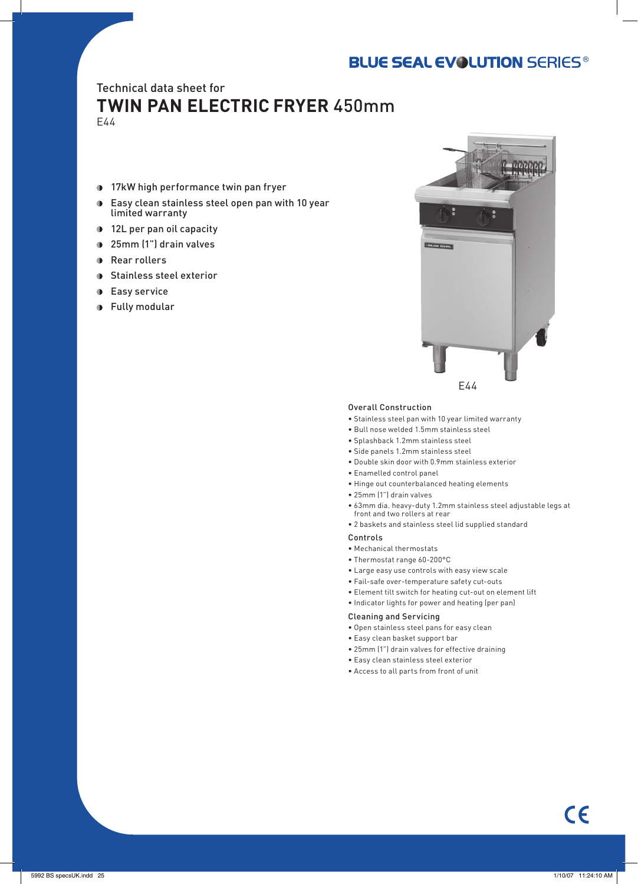# **BLUE SEAL EVOLUTION SERIES®**

# Technical data sheet for

# **TWIN PAN ELECTRIC FRYER** 450mm E44

- **17kW high performance twin pan fryer**
- Easy clean stainless steel open pan with 10 year  $\blacksquare$ limited warranty
- **12L per pan oil capacity**
- 25mm (1") drain valves
- **Rear rollers**
- **Stainless steel exterior**
- **Easy service**
- **Fully modular**



## Overall Construction

- Stainless steel pan with 10 year limited warranty
- Bull nose welded 1.5mm stainless steel
- Splashback 1.2mm stainless steel
- Side panels 1.2mm stainless steel
- Double skin door with 0.9mm stainless exterior
- Enamelled control panel
- Hinge out counterbalanced heating elements
- 25mm (1") drain valves
- 63mm dia. heavy-duty 1.2mm stainless steel adjustable legs at front and two rollers at rear
- 2 baskets and stainless steel lid supplied standard

## Controls

- Mechanical thermostats
- Thermostat range 60-200°C
- Large easy use controls with easy view scale
- Fail-safe over-temperature safety cut-outs
- Element tilt switch for heating cut-out on element lift
- Indicator lights for power and heating (per pan)

## Cleaning and Servicing

- Open stainless steel pans for easy clean
- Easy clean basket support bar
- 25mm (1") drain valves for effective draining
- Easy clean stainless steel exterior
- Access to all parts from front of unit